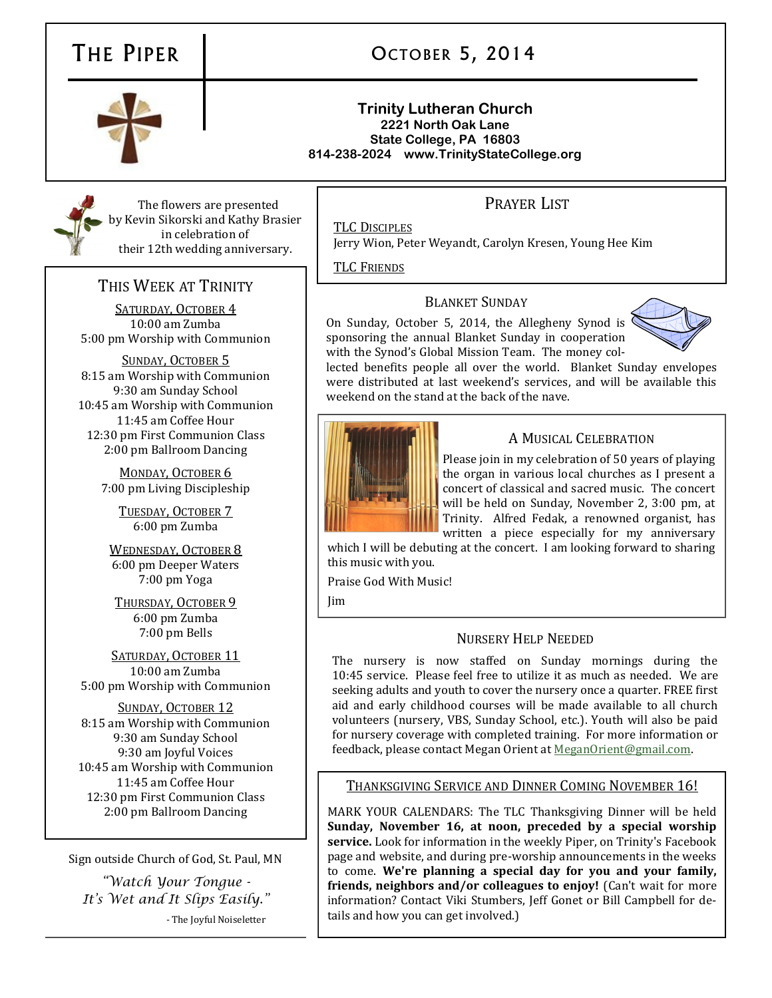# THE PIPER

# OCTOBER 5, 2014

#### **Trinity Lutheran Church 2221 North Oak Lane State College, PA 16803 814-238-2024 www.TrinityStateCollege.org**

# PRAYER LIST

The flowers are presented by Kevin Sikorski and Kathy Brasier in celebration of their 12th wedding anniversary.

# THIS WEEK AT TRINITY

SATURDAY, OCTOBER 4 10:00 am Zumba 5:00 pm Worship with Communion

SUNDAY, OCTOBER 5 8:15 am Worship with Communion 9:30 am Sunday School 10:45 am Worship with Communion 11:45 am Coffee Hour 12:30 pm First Communion Class 2:00 pm Ballroom Dancing

> MONDAY, OCTOBER 6 7:00 pm Living Discipleship

TUESDAY, OCTOBER 7 6:00 pm Zumba

WEDNESDAY, OCTOBER 8 6:00 pm Deeper Waters 7:00 pm Yoga

THURSDAY, OCTOBER 9 6:00 pm Zumba 7:00 pm Bells

SATURDAY, OCTOBER 11 10:00 am Zumba 5:00 pm Worship with Communion

SUNDAY, OCTOBER 12 8:15 am Worship with Communion 9:30 am Sunday School 9:30 am Joyful Voices 10:45 am Worship with Communion 11:45 am Coffee Hour 12:30 pm First Communion Class 2:00 pm Ballroom Dancing

Sign outside Church of God, St. Paul, MN

*"Watch Your Tongue - It's Wet and It Slips Easily."* - The Joyful Noiseletter

TLC DISCIPLES

Jerry Wion, Peter Weyandt, Carolyn Kresen, Young Hee Kim

TLC FRIENDS

### BLANKET SUNDAY

On Sunday, October 5, 2014, the Allegheny Synod is sponsoring the annual Blanket Sunday in cooperation with the Synod's Global Mission Team. The money col-



lected benefits people all over the world. Blanket Sunday envelopes were distributed at last weekend's services, and will be available this weekend on the stand at the back of the nave.



## A MUSICAL CELEBRATION

Please join in my celebration of 50 years of playing the organ in various local churches as I present a concert of classical and sacred music. The concert will be held on Sunday, November 2, 3:00 pm, at Trinity. Alfred Fedak, a renowned organist, has written a piece especially for my anniversary

which I will be debuting at the concert. I am looking forward to sharing this music with you.

Praise God With Music!

Jim

# NURSERY HELP NEEDED

The nursery is now staffed on Sunday mornings during the 10:45 service. Please feel free to utilize it as much as needed. We are seeking adults and youth to cover the nursery once a quarter. FREE first aid and early childhood courses will be made available to all church volunteers (nursery, VBS, Sunday School, etc.). Youth will also be paid for nursery coverage with completed training. For more information or feedback, please contact Megan Orient at [MeganOrient@gmail.com.](mailto:MeganOrient@gmail.com)

## THANKSGIVING SERVICE AND DINNER COMING NOVEMBER 16!

MARK YOUR CALENDARS: The TLC Thanksgiving Dinner will be held **Sunday, November 16, at noon, preceded by a special worship service.** Look for information in the weekly Piper, on Trinity's Facebook page and website, and during pre-worship announcements in the weeks to come. **We're planning a special day for you and your family, friends, neighbors and/or colleagues to enjoy!** (Can't wait for more information? Contact Viki Stumbers, Jeff Gonet or Bill Campbell for details and how you can get involved.)